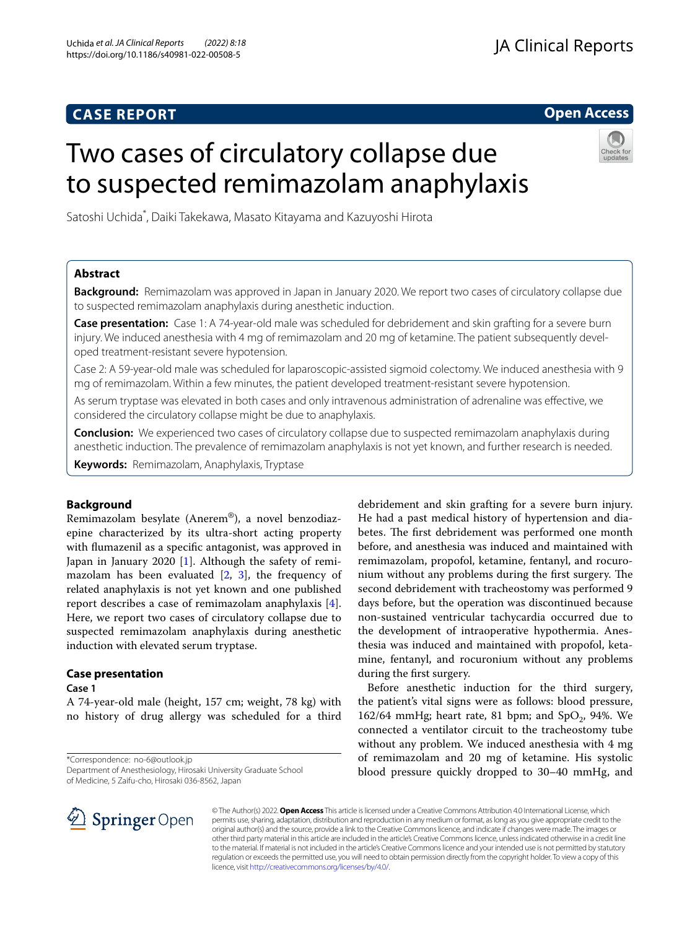# **CASE REPORT**

**Open Access**

# Two cases of circulatory collapse due to suspected remimazolam anaphylaxis



Satoshi Uchida\* , Daiki Takekawa, Masato Kitayama and Kazuyoshi Hirota

# **Abstract**

**Background:** Remimazolam was approved in Japan in January 2020. We report two cases of circulatory collapse due to suspected remimazolam anaphylaxis during anesthetic induction.

**Case presentation:** Case 1: A 74-year-old male was scheduled for debridement and skin grafting for a severe burn injury. We induced anesthesia with 4 mg of remimazolam and 20 mg of ketamine. The patient subsequently developed treatment-resistant severe hypotension.

Case 2: A 59-year-old male was scheduled for laparoscopic-assisted sigmoid colectomy. We induced anesthesia with 9 mg of remimazolam. Within a few minutes, the patient developed treatment-resistant severe hypotension.

As serum tryptase was elevated in both cases and only intravenous administration of adrenaline was efective, we considered the circulatory collapse might be due to anaphylaxis.

**Conclusion:** We experienced two cases of circulatory collapse due to suspected remimazolam anaphylaxis during anesthetic induction. The prevalence of remimazolam anaphylaxis is not yet known, and further research is needed.

**Keywords:** Remimazolam, Anaphylaxis, Tryptase

# **Background**

Remimazolam besylate (Anerem®), a novel benzodiazepine characterized by its ultra-short acting property with fumazenil as a specifc antagonist, was approved in Japan in January 2020 [\[1\]](#page-3-0). Although the safety of remimazolam has been evaluated [[2](#page-3-1), [3\]](#page-3-2), the frequency of related anaphylaxis is not yet known and one published report describes a case of remimazolam anaphylaxis [\[4](#page-3-3)]. Here, we report two cases of circulatory collapse due to suspected remimazolam anaphylaxis during anesthetic induction with elevated serum tryptase.

# **Case presentation**

**Case 1**

A 74-year-old male (height, 157 cm; weight, 78 kg) with no history of drug allergy was scheduled for a third

\*Correspondence: no-6@outlook.jp

Department of Anesthesiology, Hirosaki University Graduate School of Medicine, 5 Zaifu-cho, Hirosaki 036-8562, Japan

debridement and skin grafting for a severe burn injury. He had a past medical history of hypertension and diabetes. The first debridement was performed one month before, and anesthesia was induced and maintained with remimazolam, propofol, ketamine, fentanyl, and rocuronium without any problems during the first surgery. The second debridement with tracheostomy was performed 9 days before, but the operation was discontinued because non-sustained ventricular tachycardia occurred due to the development of intraoperative hypothermia. Anesthesia was induced and maintained with propofol, ketamine, fentanyl, and rocuronium without any problems during the frst surgery.

Before anesthetic induction for the third surgery, the patient's vital signs were as follows: blood pressure, 162/64 mmHg; heart rate, 81 bpm; and  $SpO<sub>2</sub>$ , 94%. We connected a ventilator circuit to the tracheostomy tube without any problem. We induced anesthesia with 4 mg of remimazolam and 20 mg of ketamine. His systolic blood pressure quickly dropped to 30–40 mmHg, and



© The Author(s) 2022. **Open Access** This article is licensed under a Creative Commons Attribution 4.0 International License, which permits use, sharing, adaptation, distribution and reproduction in any medium or format, as long as you give appropriate credit to the original author(s) and the source, provide a link to the Creative Commons licence, and indicate if changes were made. The images or other third party material in this article are included in the article's Creative Commons licence, unless indicated otherwise in a credit line to the material. If material is not included in the article's Creative Commons licence and your intended use is not permitted by statutory regulation or exceeds the permitted use, you will need to obtain permission directly from the copyright holder. To view a copy of this licence, visit [http://creativecommons.org/licenses/by/4.0/.](http://creativecommons.org/licenses/by/4.0/)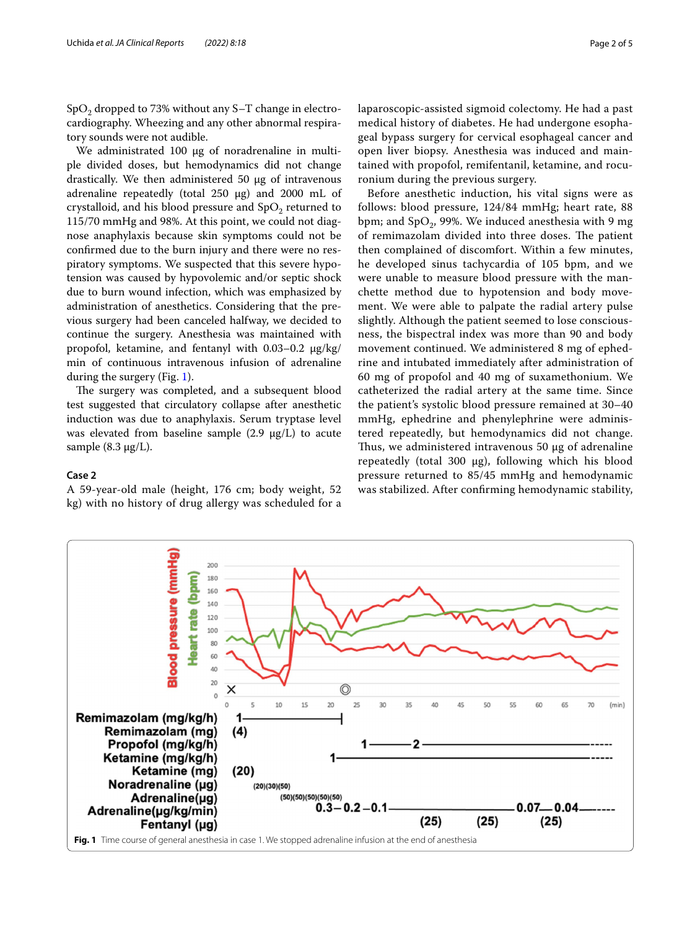$SpO<sub>2</sub>$  dropped to 73% without any S–T change in electrocardiography. Wheezing and any other abnormal respiratory sounds were not audible.

We administrated 100 μg of noradrenaline in multiple divided doses, but hemodynamics did not change drastically. We then administered 50 μg of intravenous adrenaline repeatedly (total 250 μg) and 2000 mL of crystalloid, and his blood pressure and  $SpO<sub>2</sub>$  returned to 115/70 mmHg and 98%. At this point, we could not diagnose anaphylaxis because skin symptoms could not be confrmed due to the burn injury and there were no respiratory symptoms. We suspected that this severe hypotension was caused by hypovolemic and/or septic shock due to burn wound infection, which was emphasized by administration of anesthetics. Considering that the previous surgery had been canceled halfway, we decided to continue the surgery. Anesthesia was maintained with propofol, ketamine, and fentanyl with 0.03–0.2 μg/kg/ min of continuous intravenous infusion of adrenaline during the surgery (Fig. [1\)](#page-1-0).

The surgery was completed, and a subsequent blood test suggested that circulatory collapse after anesthetic induction was due to anaphylaxis. Serum tryptase level was elevated from baseline sample  $(2.9 \mu g/L)$  to acute sample  $(8.3 \mu g/L)$ .

### **Case 2**

A 59-year-old male (height, 176 cm; body weight, 52 kg) with no history of drug allergy was scheduled for a laparoscopic-assisted sigmoid colectomy. He had a past medical history of diabetes. He had undergone esophageal bypass surgery for cervical esophageal cancer and open liver biopsy. Anesthesia was induced and maintained with propofol, remifentanil, ketamine, and rocuronium during the previous surgery.

Before anesthetic induction, his vital signs were as follows: blood pressure, 124/84 mmHg; heart rate, 88 bpm; and  $SpO<sub>2</sub>$ , 99%. We induced anesthesia with 9 mg of remimazolam divided into three doses. The patient then complained of discomfort. Within a few minutes, he developed sinus tachycardia of 105 bpm, and we were unable to measure blood pressure with the manchette method due to hypotension and body movement. We were able to palpate the radial artery pulse slightly. Although the patient seemed to lose consciousness, the bispectral index was more than 90 and body movement continued. We administered 8 mg of ephedrine and intubated immediately after administration of 60 mg of propofol and 40 mg of suxamethonium. We catheterized the radial artery at the same time. Since the patient's systolic blood pressure remained at 30–40 mmHg, ephedrine and phenylephrine were administered repeatedly, but hemodynamics did not change. Thus, we administered intravenous 50  $\mu$ g of adrenaline repeatedly (total 300 μg), following which his blood pressure returned to 85/45 mmHg and hemodynamic was stabilized. After confrming hemodynamic stability,

<span id="page-1-0"></span>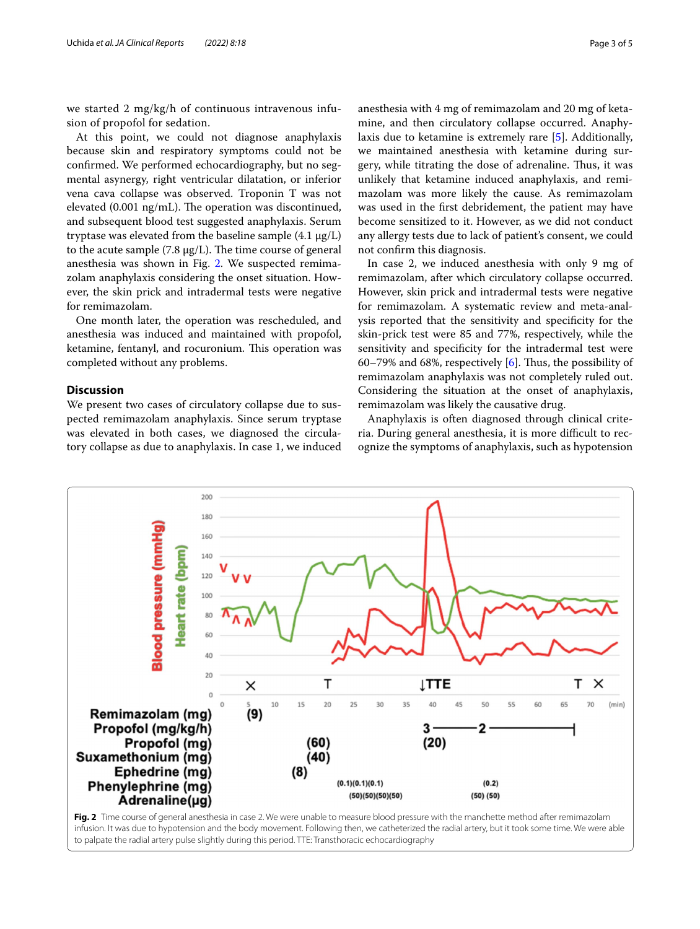we started 2 mg/kg/h of continuous intravenous infusion of propofol for sedation.

At this point, we could not diagnose anaphylaxis because skin and respiratory symptoms could not be confrmed. We performed echocardiography, but no segmental asynergy, right ventricular dilatation, or inferior vena cava collapse was observed. Troponin T was not elevated  $(0.001 \text{ ng/mL})$ . The operation was discontinued, and subsequent blood test suggested anaphylaxis. Serum tryptase was elevated from the baseline sample (4.1 μg/L) to the acute sample (7.8  $\mu$ g/L). The time course of general anesthesia was shown in Fig. [2.](#page-2-0) We suspected remimazolam anaphylaxis considering the onset situation. However, the skin prick and intradermal tests were negative for remimazolam.

One month later, the operation was rescheduled, and anesthesia was induced and maintained with propofol, ketamine, fentanyl, and rocuronium. This operation was completed without any problems.

# **Discussion**

We present two cases of circulatory collapse due to suspected remimazolam anaphylaxis. Since serum tryptase was elevated in both cases, we diagnosed the circulatory collapse as due to anaphylaxis. In case 1, we induced anesthesia with 4 mg of remimazolam and 20 mg of ketamine, and then circulatory collapse occurred. Anaphylaxis due to ketamine is extremely rare [[5\]](#page-3-4). Additionally, we maintained anesthesia with ketamine during surgery, while titrating the dose of adrenaline. Thus, it was unlikely that ketamine induced anaphylaxis, and remimazolam was more likely the cause. As remimazolam was used in the frst debridement, the patient may have become sensitized to it. However, as we did not conduct any allergy tests due to lack of patient's consent, we could not confrm this diagnosis.

In case 2, we induced anesthesia with only 9 mg of remimazolam, after which circulatory collapse occurred. However, skin prick and intradermal tests were negative for remimazolam. A systematic review and meta-analysis reported that the sensitivity and specifcity for the skin-prick test were 85 and 77%, respectively, while the sensitivity and specifcity for the intradermal test were 60–79% and 68%, respectively  $[6]$  $[6]$ . Thus, the possibility of remimazolam anaphylaxis was not completely ruled out. Considering the situation at the onset of anaphylaxis, remimazolam was likely the causative drug.

Anaphylaxis is often diagnosed through clinical criteria. During general anesthesia, it is more difficult to recognize the symptoms of anaphylaxis, such as hypotension



<span id="page-2-0"></span>infusion. It was due to hypotension and the body movement. Following then, we catheterized the radial artery, but it took some time. We were able to palpate the radial artery pulse slightly during this period. TTE: Transthoracic echocardiography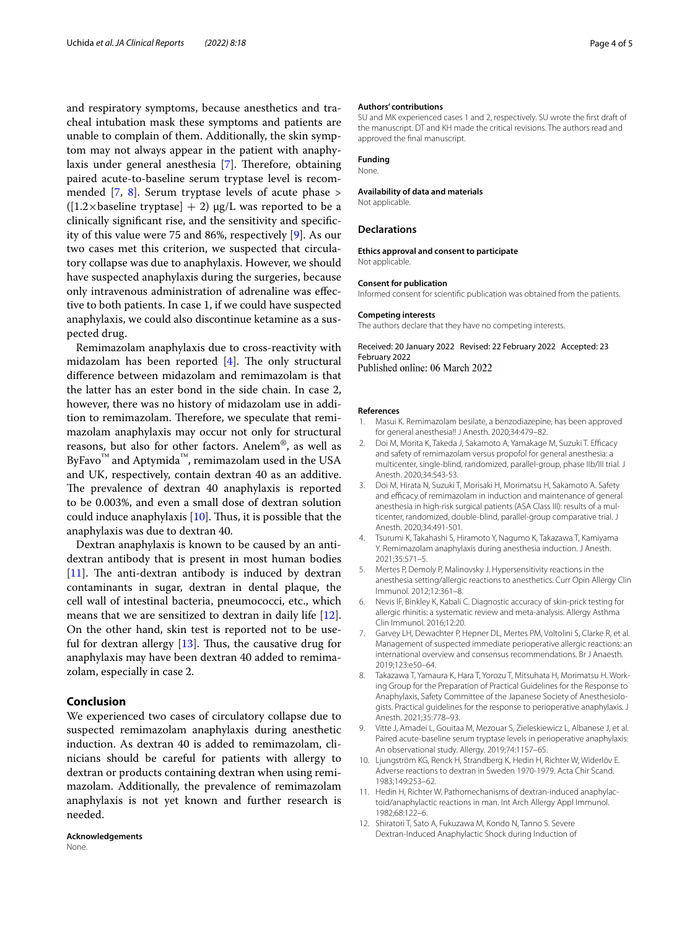and respiratory symptoms, because anesthetics and tracheal intubation mask these symptoms and patients are unable to complain of them. Additionally, the skin symptom may not always appear in the patient with anaphy-laxis under general anesthesia [\[7](#page-3-6)]. Therefore, obtaining paired acute-to-baseline serum tryptase level is recommended [\[7](#page-3-6), [8\]](#page-3-7). Serum tryptase levels of acute phase >  $([1.2 \times \text{baseline tryptase}] + 2) \mu g/L$  was reported to be a clinically signifcant rise, and the sensitivity and specifcity of this value were 75 and 86%, respectively [[9\]](#page-3-8). As our two cases met this criterion, we suspected that circulatory collapse was due to anaphylaxis. However, we should have suspected anaphylaxis during the surgeries, because only intravenous administration of adrenaline was efective to both patients. In case 1, if we could have suspected anaphylaxis, we could also discontinue ketamine as a suspected drug.

Remimazolam anaphylaxis due to cross-reactivity with midazolam has been reported  $[4]$  $[4]$ . The only structural diference between midazolam and remimazolam is that the latter has an ester bond in the side chain. In case 2, however, there was no history of midazolam use in addition to remimazolam. Therefore, we speculate that remimazolam anaphylaxis may occur not only for structural reasons, but also for other factors. Anelem®, as well as ByFavo<sup>™</sup> and Aptymida<sup>™</sup>, remimazolam used in the USA and UK, respectively, contain dextran 40 as an additive. The prevalence of dextran 40 anaphylaxis is reported to be 0.003%, and even a small dose of dextran solution could induce anaphylaxis  $[10]$  $[10]$  $[10]$ . Thus, it is possible that the anaphylaxis was due to dextran 40.

Dextran anaphylaxis is known to be caused by an antidextran antibody that is present in most human bodies [[11\]](#page-3-10). The anti-dextran antibody is induced by dextran contaminants in sugar, dextran in dental plaque, the cell wall of intestinal bacteria, pneumococci, etc., which means that we are sensitized to dextran in daily life [\[12](#page-3-11)]. On the other hand, skin test is reported not to be useful for dextran allergy  $[13]$  $[13]$  $[13]$ . Thus, the causative drug for anaphylaxis may have been dextran 40 added to remimazolam, especially in case 2.

# **Conclusion**

We experienced two cases of circulatory collapse due to suspected remimazolam anaphylaxis during anesthetic induction. As dextran 40 is added to remimazolam, clinicians should be careful for patients with allergy to dextran or products containing dextran when using remimazolam. Additionally, the prevalence of remimazolam anaphylaxis is not yet known and further research is needed.

**Acknowledgements** None.

### **Authors' contributions**

SU and MK experienced cases 1 and 2, respectively. SU wrote the frst draft of the manuscript. DT and KH made the critical revisions. The authors read and approved the fnal manuscript.

### **Funding** None.

## **Availability of data and materials**

Not applicable.

### **Declarations**

### **Ethics approval and consent to participate** Not applicable.

### **Consent for publication**

Informed consent for scientifc publication was obtained from the patients.

### **Competing interests**

The authors declare that they have no competing interests.

Received: 20 January 2022 Revised: 22 February 2022 Accepted: 23 February 2022 Published online: 06 March 2022

### **References**

- <span id="page-3-0"></span>Masui K. Remimazolam besilate, a benzodiazepine, has been approved for general anesthesia!! J Anesth. 2020;34:479–82.
- <span id="page-3-1"></span>2. Doi M, Morita K, Takeda J, Sakamoto A, Yamakage M, Suzuki T. Efficacy and safety of remimazolam versus propofol for general anesthesia: a multicenter, single-blind, randomized, parallel-group, phase IIb/III trial. J Anesth. 2020;34:543-53.
- <span id="page-3-2"></span>3. Doi M, Hirata N, Suzuki T, Morisaki H, Morimatsu H, Sakamoto A. Safety and efficacy of remimazolam in induction and maintenance of general anesthesia in high-risk surgical patients (ASA Class III): results of a multicenter, randomized, double-blind, parallel-group comparative trial. J Anesth. 2020;34:491-501.
- <span id="page-3-3"></span>4. Tsurumi K, Takahashi S, Hiramoto Y, Nagumo K, Takazawa T, Kamiyama Y. Remimazolam anaphylaxis during anesthesia induction. J Anesth. 2021;35:571–5.
- <span id="page-3-4"></span>5. Mertes P, Demoly P, Malinovsky J. Hypersensitivity reactions in the anesthesia setting/allergic reactions to anesthetics. Curr Opin Allergy Clin Immunol. 2012;12:361–8.
- <span id="page-3-5"></span>6. Nevis IF, Binkley K, Kabali C. Diagnostic accuracy of skin-prick testing for allergic rhinitis: a systematic review and meta-analysis. Allergy Asthma Clin Immunol. 2016;12:20.
- <span id="page-3-6"></span>7. Garvey LH, Dewachter P, Hepner DL, Mertes PM, Voltolini S, Clarke R, et al. Management of suspected immediate perioperative allergic reactions: an international overview and consensus recommendations. Br J Anaesth. 2019;123:e50–64.
- <span id="page-3-7"></span>8. Takazawa T, Yamaura K, Hara T, Yorozu T, Mitsuhata H, Morimatsu H. Working Group for the Preparation of Practical Guidelines for the Response to Anaphylaxis, Safety Committee of the Japanese Society of Anesthesiologists. Practical guidelines for the response to perioperative anaphylaxis. J Anesth. 2021;35:778–93.
- <span id="page-3-8"></span>9. Vitte J, Amadei L, Gouitaa M, Mezouar S, Zieleskiewicz L, Albanese J, et al. Paired acute-baseline serum tryptase levels in perioperative anaphylaxis: An observational study. Allergy. 2019;74:1157–65.
- <span id="page-3-9"></span>10. Ljungström KG, Renck H, Strandberg K, Hedin H, Richter W, Widerlöv E. Adverse reactions to dextran in Sweden 1970-1979. Acta Chir Scand. 1983;149:253–62.
- <span id="page-3-10"></span>11. Hedin H, Richter W. Pathomechanisms of dextran-induced anaphylactoid/anaphylactic reactions in man. Int Arch Allergy Appl Immunol. 1982;68:122–6.
- <span id="page-3-11"></span>12. Shiratori T, Sato A, Fukuzawa M, Kondo N, Tanno S. Severe Dextran-Induced Anaphylactic Shock during Induction of